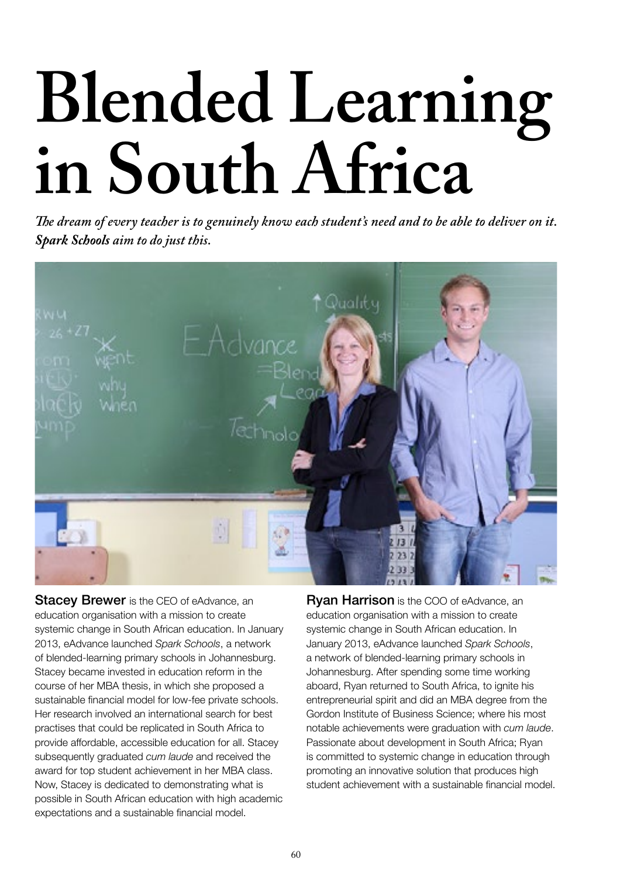# **Blended Learning in South Africa**

*!e dream of every teacher is to genuinely know each student's need and to be able to deliver on it. Spark Schools aim to do just this.*



**Stacey Brewer** is the CEO of eAdvance, an education organisation with a mission to create systemic change in South African education. In January 2013, eAdvance launched *Spark Schools*, a network of blended-learning primary schools in Johannesburg. Stacey became invested in education reform in the course of her MBA thesis, in which she proposed a sustainable financial model for low-fee private schools. Her research involved an international search for best practises that could be replicated in South Africa to provide affordable, accessible education for all. Stacey subsequently graduated *cum laude* and received the award for top student achievement in her MBA class. Now, Stacey is dedicated to demonstrating what is possible in South African education with high academic expectations and a sustainable financial model.

**Ryan Harrison** is the COO of eAdvance, an education organisation with a mission to create systemic change in South African education. In January 2013, eAdvance launched *Spark Schools*, a network of blended-learning primary schools in Johannesburg. After spending some time working aboard, Ryan returned to South Africa, to ignite his entrepreneurial spirit and did an MBA degree from the Gordon Institute of Business Science; where his most notable achievements were graduation with *cum laude*. Passionate about development in South Africa; Ryan is committed to systemic change in education through promoting an innovative solution that produces high student achievement with a sustainable financial model.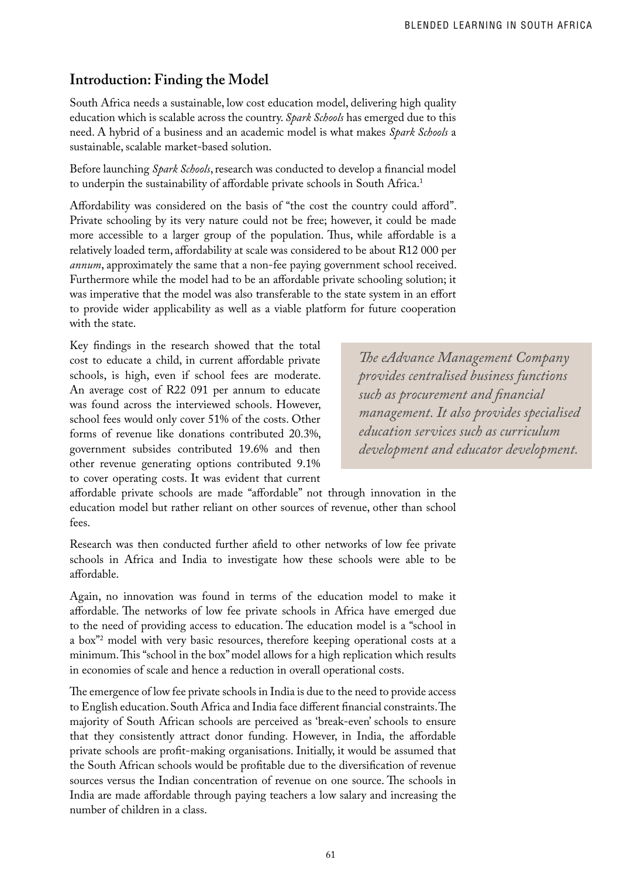# **Introduction: Finding the Model**

South Africa needs a sustainable, low cost education model, delivering high quality education which is scalable across the country. *Spark Schools* has emerged due to this need. A hybrid of a business and an academic model is what makes *Spark Schools* a sustainable, scalable market-based solution.

Before launching *Spark Schools*, research was conducted to develop a financial model to underpin the sustainability of affordable private schools in South Africa.<sup>1</sup>

Affordability was considered on the basis of "the cost the country could afford". Private schooling by its very nature could not be free; however, it could be made more accessible to a larger group of the population. Thus, while affordable is a relatively loaded term, affordability at scale was considered to be about R12 000 per *annum*, approximately the same that a non-fee paying government school received. Furthermore while the model had to be an affordable private schooling solution; it was imperative that the model was also transferable to the state system in an effort to provide wider applicability as well as a viable platform for future cooperation with the state.

Key findings in the research showed that the total cost to educate a child, in current affordable private schools, is high, even if school fees are moderate. An average cost of R22 091 per annum to educate was found across the interviewed schools. However, school fees would only cover 51% of the costs. Other forms of revenue like donations contributed 20.3%, government subsides contributed 19.6% and then other revenue generating options contributed 9.1% to cover operating costs. It was evident that current

*!e eAdvance Management Company provides centralised business functions such as procurement and "nancial management. It also provides specialised education services such as curriculum development and educator development.*

affordable private schools are made "affordable" not through innovation in the education model but rather reliant on other sources of revenue, other than school fees.

Research was then conducted further a field to other networks of low fee private schools in Africa and India to investigate how these schools were able to be affordable.

Again, no innovation was found in terms of the education model to make it affordable. The networks of low fee private schools in Africa have emerged due to the need of providing access to education. The education model is a "school in a box"2 model with very basic resources, therefore keeping operational costs at a minimum. This "school in the box" model allows for a high replication which results in economies of scale and hence a reduction in overall operational costs.

The emergence of low fee private schools in India is due to the need to provide access to English education. South Africa and India face different financial constraints. The majority of South African schools are perceived as 'break-even' schools to ensure that they consistently attract donor funding. However, in India, the affordable private schools are profit-making organisations. Initially, it would be assumed that the South African schools would be profitable due to the diversification of revenue sources versus the Indian concentration of revenue on one source. The schools in India are made affordable through paying teachers a low salary and increasing the number of children in a class.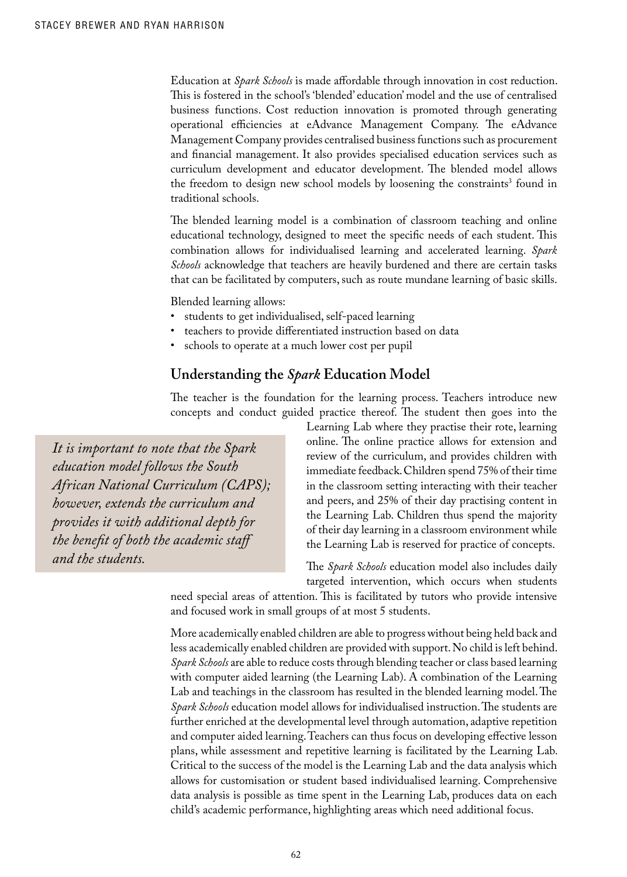Education at *Spark Schools* is made affordable through innovation in cost reduction. This is fostered in the school's 'blended' education' model and the use of centralised business functions. Cost reduction innovation is promoted through generating operational efficiencies at eAdvance Management Company. The eAdvance Management Company provides centralised business functions such as procurement and financial management. It also provides specialised education services such as curriculum development and educator development. The blended model allows the freedom to design new school models by loosening the constraints<sup>3</sup> found in traditional schools.

The blended learning model is a combination of classroom teaching and online educational technology, designed to meet the specific needs of each student. This combination allows for individualised learning and accelerated learning. *Spark Schools* acknowledge that teachers are heavily burdened and there are certain tasks that can be facilitated by computers, such as route mundane learning of basic skills.

Blended learning allows:

- students to get individualised, self-paced learning
- teachers to provide differentiated instruction based on data
- schools to operate at a much lower cost per pupil

## **Understanding the** *Spark* **Education Model**

The teacher is the foundation for the learning process. Teachers introduce new concepts and conduct guided practice thereof. The student then goes into the

*It is important to note that the Spark education model follows the South African National Curriculum (CAPS); however, extends the curriculum and provides it with additional depth for the benefit of both the academic staff and the students.* 

Learning Lab where they practise their rote, learning online. The online practice allows for extension and review of the curriculum, and provides children with immediate feedback. Children spend 75% of their time in the classroom setting interacting with their teacher and peers, and 25% of their day practising content in the Learning Lab. Children thus spend the majority of their day learning in a classroom environment while the Learning Lab is reserved for practice of concepts.

The *Spark Schools* education model also includes daily targeted intervention, which occurs when students

need special areas of attention. This is facilitated by tutors who provide intensive and focused work in small groups of at most 5 students.

More academically enabled children are able to progress without being held back and less academically enabled children are provided with support. No child is left behind. *Spark Schools* are able to reduce costs through blending teacher or class based learning with computer aided learning (the Learning Lab). A combination of the Learning Lab and teachings in the classroom has resulted in the blended learning model. The *Spark Schools* education model allows for individualised instruction. The students are further enriched at the developmental level through automation, adaptive repetition and computer aided learning. Teachers can thus focus on developing effective lesson plans, while assessment and repetitive learning is facilitated by the Learning Lab. Critical to the success of the model is the Learning Lab and the data analysis which allows for customisation or student based individualised learning. Comprehensive data analysis is possible as time spent in the Learning Lab, produces data on each child's academic performance, highlighting areas which need additional focus.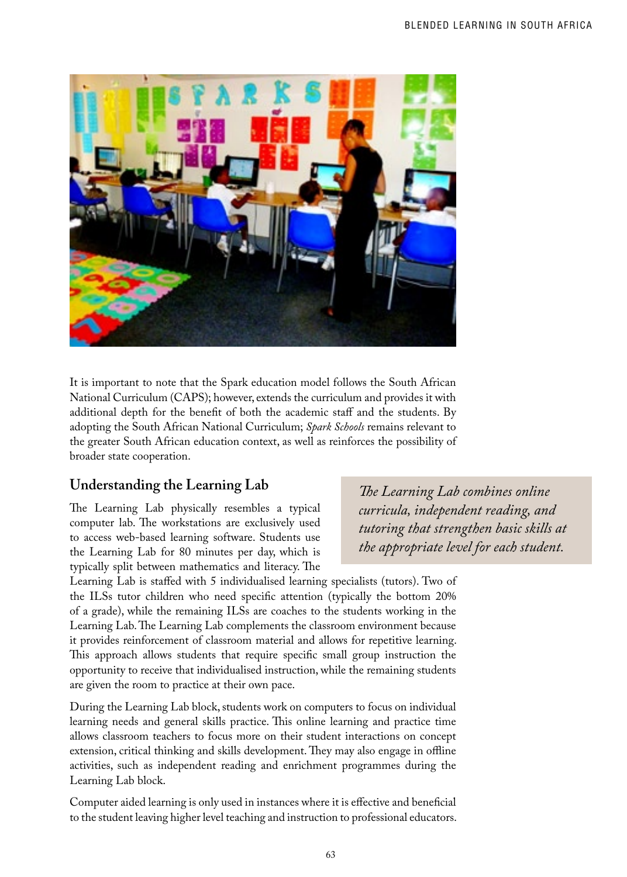

It is important to note that the Spark education model follows the South African National Curriculum (CAPS); however, extends the curriculum and provides it with additional depth for the benefit of both the academic staff and the students. By adopting the South African National Curriculum; *Spark Schools* remains relevant to the greater South African education context, as well as reinforces the possibility of broader state cooperation.

# **Understanding the Learning Lab**

The Learning Lab physically resembles a typical computer lab. The workstations are exclusively used to access web-based learning software. Students use the Learning Lab for 80 minutes per day, which is typically split between mathematics and literacy. The *!e Learning Lab combines online curricula, independent reading, and tutoring that strengthen basic skills at the appropriate level for each student.* 

Learning Lab is staffed with 5 individualised learning specialists (tutors). Two of the ILSs tutor children who need specific attention (typically the bottom 20% of a grade), while the remaining ILSs are coaches to the students working in the Learning Lab. The Learning Lab complements the classroom environment because it provides reinforcement of classroom material and allows for repetitive learning. This approach allows students that require specific small group instruction the opportunity to receive that individualised instruction, while the remaining students are given the room to practice at their own pace.

During the Learning Lab block, students work on computers to focus on individual learning needs and general skills practice. This online learning and practice time allows classroom teachers to focus more on their student interactions on concept extension, critical thinking and skills development. They may also engage in offline activities, such as independent reading and enrichment programmes during the Learning Lab block.

Computer aided learning is only used in instances where it is effective and beneficial to the student leaving higher level teaching and instruction to professional educators.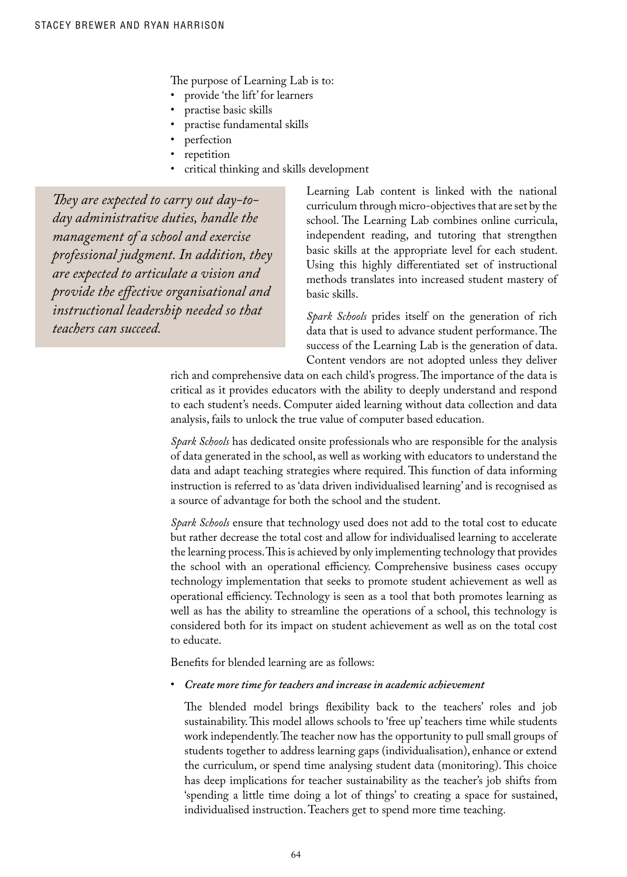The purpose of Learning Lab is to:

- provide 'the lift' for learners
- practise basic skills
- practise fundamental skills
- perfection
- repetition
- critical thinking and skills development

They are expected to carry out day-to*day administrative duties, handle the management of a school and exercise professional judgment. In addition, they are expected to articulate a vision and provide the effective organisational and instructional leadership needed so that teachers can succeed.*

Learning Lab content is linked with the national curriculum through micro-objectives that are set by the school. The Learning Lab combines online curricula, independent reading, and tutoring that strengthen basic skills at the appropriate level for each student. Using this highly differentiated set of instructional methods translates into increased student mastery of basic skills.

*Spark Schools* prides itself on the generation of rich data that is used to advance student performance. The success of the Learning Lab is the generation of data. Content vendors are not adopted unless they deliver

rich and comprehensive data on each child's progress. The importance of the data is critical as it provides educators with the ability to deeply understand and respond to each student's needs. Computer aided learning without data collection and data analysis, fails to unlock the true value of computer based education.

*Spark Schools* has dedicated onsite professionals who are responsible for the analysis of data generated in the school, as well as working with educators to understand the data and adapt teaching strategies where required. This function of data informing instruction is referred to as 'data driven individualised learning' and is recognised as a source of advantage for both the school and the student.

*Spark Schools* ensure that technology used does not add to the total cost to educate but rather decrease the total cost and allow for individualised learning to accelerate the learning process. This is achieved by only implementing technology that provides the school with an operational efficiency. Comprehensive business cases occupy technology implementation that seeks to promote student achievement as well as operational efficiency. Technology is seen as a tool that both promotes learning as well as has the ability to streamline the operations of a school, this technology is considered both for its impact on student achievement as well as on the total cost to educate.

Benefits for blended learning are as follows:

R5 *Create more time for teachers and increase in academic achievement*

The blended model brings flexibility back to the teachers' roles and job sustainability. This model allows schools to 'free up' teachers time while students work independently. The teacher now has the opportunity to pull small groups of students together to address learning gaps (individualisation), enhance or extend the curriculum, or spend time analysing student data (monitoring). This choice has deep implications for teacher sustainability as the teacher's job shifts from 'spending a little time doing a lot of things' to creating a space for sustained, individualised instruction. Teachers get to spend more time teaching.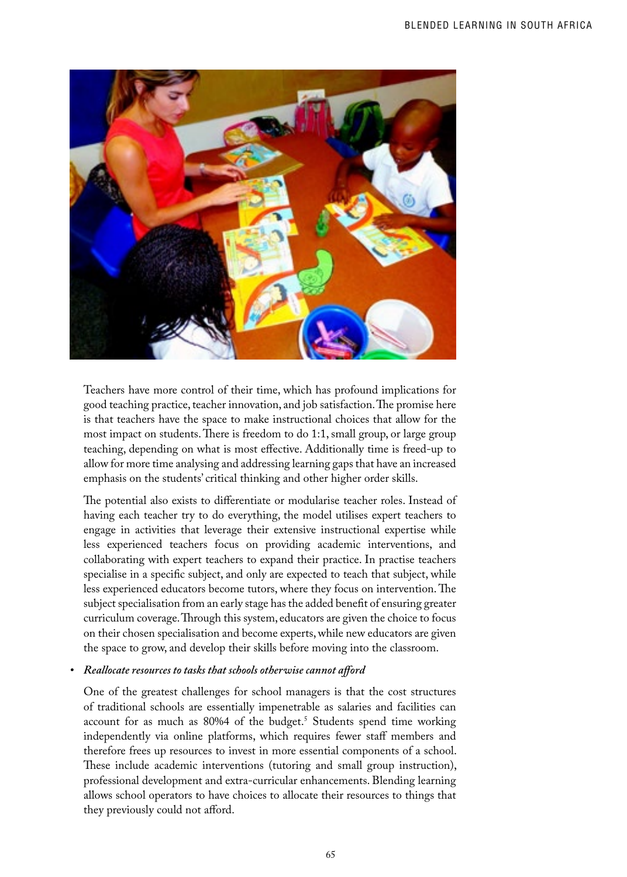

Teachers have more control of their time, which has profound implications for good teaching practice, teacher innovation, and job satisfaction. The promise here is that teachers have the space to make instructional choices that allow for the most impact on students. There is freedom to do 1:1, small group, or large group teaching, depending on what is most effective. Additionally time is freed-up to allow for more time analysing and addressing learning gaps that have an increased emphasis on the students' critical thinking and other higher order skills.

The potential also exists to differentiate or modularise teacher roles. Instead of having each teacher try to do everything, the model utilises expert teachers to engage in activities that leverage their extensive instructional expertise while less experienced teachers focus on providing academic interventions, and collaborating with expert teachers to expand their practice. In practise teachers specialise in a specific subject, and only are expected to teach that subject, while less experienced educators become tutors, where they focus on intervention. The subject specialisation from an early stage has the added benefit of ensuring greater curriculum coverage. Through this system, educators are given the choice to focus on their chosen specialisation and become experts, while new educators are given the space to grow, and develop their skills before moving into the classroom.

#### **•** Reallocate resources to tasks that schools otherwise cannot afford

One of the greatest challenges for school managers is that the cost structures of traditional schools are essentially impenetrable as salaries and facilities can account for as much as 80%4 of the budget.<sup>5</sup> Students spend time working independently via online platforms, which requires fewer staff members and therefore frees up resources to invest in more essential components of a school. These include academic interventions (tutoring and small group instruction), professional development and extra-curricular enhancements. Blending learning allows school operators to have choices to allocate their resources to things that they previously could not afford.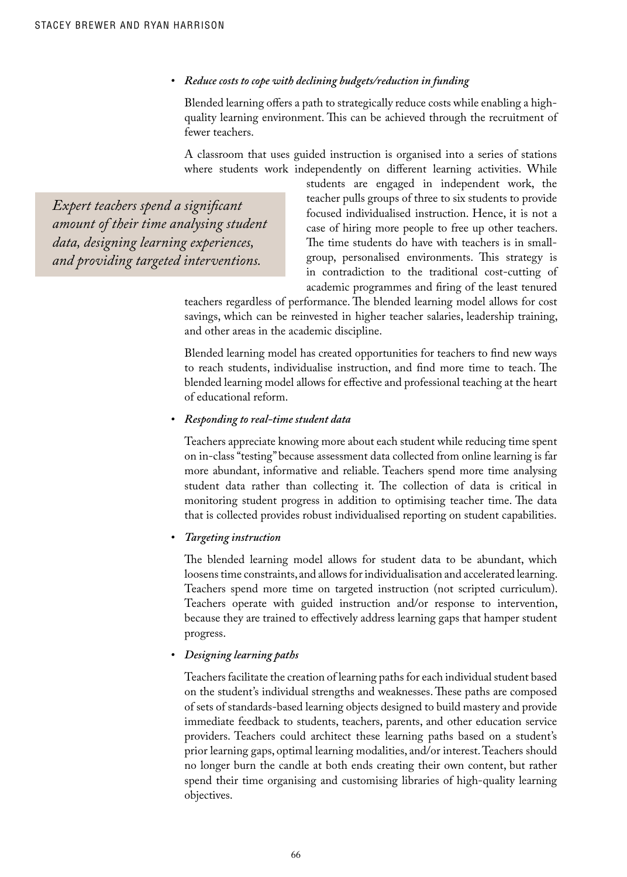#### • Reduce costs to cope with declining budgets/reduction in funding

Blended learning offers a path to strategically reduce costs while enabling a highquality learning environment. This can be achieved through the recruitment of fewer teachers.

A classroom that uses guided instruction is organised into a series of stations where students work independently on different learning activities. While

*Expert teachers spend a signi!cant amount of their time analysing student data, designing learning experiences, and providing targeted interventions.* 

students are engaged in independent work, the teacher pulls groups of three to six students to provide focused individualised instruction. Hence, it is not a case of hiring more people to free up other teachers. The time students do have with teachers is in smallgroup, personalised environments. This strategy is in contradiction to the traditional cost-cutting of academic programmes and firing of the least tenured

teachers regardless of performance. The blended learning model allows for cost savings, which can be reinvested in higher teacher salaries, leadership training, and other areas in the academic discipline.

Blended learning model has created opportunities for teachers to find new ways to reach students, individualise instruction, and find more time to teach. The blended learning model allows for effective and professional teaching at the heart of educational reform.

#### **•** Responding to real-time student data

Teachers appreciate knowing more about each student while reducing time spent on in-class "testing" because assessment data collected from online learning is far more abundant, informative and reliable. Teachers spend more time analysing student data rather than collecting it. The collection of data is critical in monitoring student progress in addition to optimising teacher time. The data that is collected provides robust individualised reporting on student capabilities.

#### **•** Targeting instruction

The blended learning model allows for student data to be abundant, which loosens time constraints, and allows for individualisation and accelerated learning. Teachers spend more time on targeted instruction (not scripted curriculum). Teachers operate with guided instruction and/or response to intervention, because they are trained to effectively address learning gaps that hamper student progress.

#### **•** Designing learning paths

Teachers facilitate the creation of learning paths for each individual student based on the student's individual strengths and weaknesses. These paths are composed of sets of standards-based learning objects designed to build mastery and provide immediate feedback to students, teachers, parents, and other education service providers. Teachers could architect these learning paths based on a student's prior learning gaps, optimal learning modalities, and/or interest. Teachers should no longer burn the candle at both ends creating their own content, but rather spend their time organising and customising libraries of high-quality learning objectives.